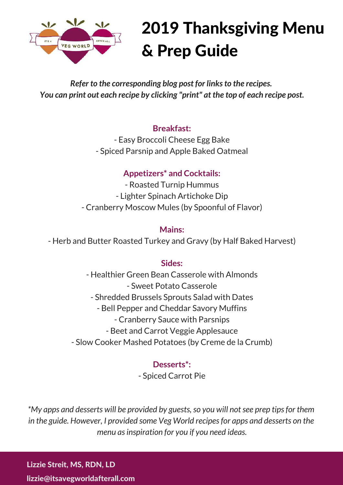

# 2019 Thanksgiving Menu & Prep Guide

*Refer to the corresponding blog post for links to the recipes. You can print out each recipe by clicking "print" at the top of each recipe post.*

## **Breakfast:**

- Easy Broccoli Cheese Egg Bake - Spiced Parsnip and Apple Baked Oatmeal

# **Appetizers\* and Cocktails:**

- Roasted Turnip Hummus - Lighter Spinach Artichoke Dip - Cranberry Moscow Mules (by Spoonful of Flavor)

## **Mains:**

- Herb and Butter Roasted Turkey and Gravy (by Half Baked Harvest)

## **Sides:**

- Healthier Green Bean Casserole with Almonds - Sweet Potato Casserole - Shredded Brussels Sprouts Salad with Dates - Bell Pepper and Cheddar Savory Muffins - Cranberry Sauce with Parsnips - Beet and Carrot Veggie Applesauce - Slow Cooker Mashed Potatoes (by Creme de la Crumb)

# **Desserts\*:**

- Spiced Carrot Pie

*\*My apps and desserts will be provided by guests, so you will not see prep tips for them in the guide. However, I provided some Veg World recipes for apps and desserts on the menu as inspiration for you if you need ideas.*

Lizzie Streit, MS, RDN, LD

lizzie@itsavegworldafterall.com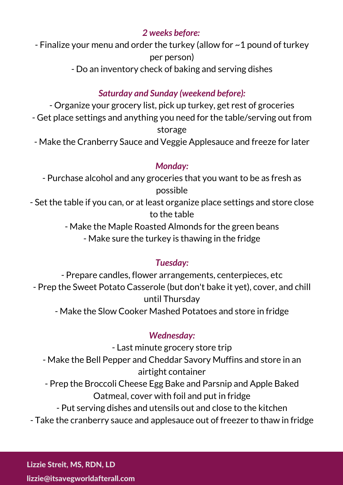# *2 weeks before:*

- Finalize your menu and order the turkey (allow for ~1 pound of turkey per person)

- Do an inventory check of baking and serving dishes

# *Saturday and Sunday (weekend before):*

- Organize your grocery list, pick up turkey, get rest of groceries - Get place settings and anything you need for the table/serving out from storage

- Make the Cranberry Sauce and Veggie Applesauce and freeze for later

# *Monday:*

- Purchase alcohol and any groceries that you want to be as fresh as possible

- Set the table if you can, or at least organize place settings and store close to the table

- Make the Maple Roasted Almonds for the green beans

- Make sure the turkey is thawing in the fridge

# *Tuesday:*

- Prepare candles, flower arrangements, centerpieces, etc - Prep the Sweet Potato Casserole (but don't bake it yet), cover, and chill until Thursday - Make the Slow Cooker Mashed Potatoes and store in fridge

# *Wednesday:*

- Last minute grocery store trip

- Make the Bell Pepper and Cheddar Savory Muffins and store in an airtight container
- Prep the Broccoli Cheese Egg Bake and Parsnip and Apple Baked Oatmeal, cover with foil and put in fridge

- Put serving dishes and utensils out and close to the kitchen

- Take the cranberry sauce and applesauce out of freezer to thaw in fridge

Lizzie Streit, MS, RDN, LD

lizzie@itsavegworldafterall.com